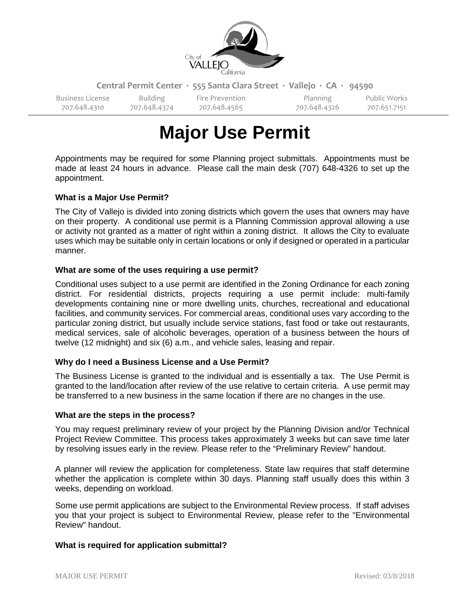

**Central Permit Center ∙ 555 Santa Clara Street ∙ Vallejo ∙ CA ∙ 94590**

707.648.4310 707.648.4374 707.648.4565 707.648.4326 707.651.7151

Business License Building Fire Prevention Planning Public Works<br>707.648.4310 707.648.4374 707.648.4565 707.648.4326 707.648.13151

# **Major Use Permit**

Appointments may be required for some Planning project submittals. Appointments must be made at least 24 hours in advance. Please call the main desk (707) 648-4326 to set up the appointment.

# **What is a Major Use Permit?**

The City of Vallejo is divided into zoning districts which govern the uses that owners may have on their property. A conditional use permit is a Planning Commission approval allowing a use or activity not granted as a matter of right within a zoning district. It allows the City to evaluate uses which may be suitable only in certain locations or only if designed or operated in a particular manner.

# **What are some of the uses requiring a use permit?**

Conditional uses subject to a use permit are identified in the Zoning Ordinance for each zoning district. For residential districts, projects requiring a use permit include: multi-family developments containing nine or more dwelling units, churches, recreational and educational facilities, and community services. For commercial areas, conditional uses vary according to the particular zoning district, but usually include service stations, fast food or take out restaurants, medical services, sale of alcoholic beverages, operation of a business between the hours of twelve (12 midnight) and six (6) a.m., and vehicle sales, leasing and repair.

# **Why do I need a Business License and a Use Permit?**

The Business License is granted to the individual and is essentially a tax. The Use Permit is granted to the land/location after review of the use relative to certain criteria. A use permit may be transferred to a new business in the same location if there are no changes in the use.

# **What are the steps in the process?**

You may request preliminary review of your project by the Planning Division and/or Technical Project Review Committee. This process takes approximately 3 weeks but can save time later by resolving issues early in the review. Please refer to the "Preliminary Review" handout.

A planner will review the application for completeness. State law requires that staff determine whether the application is complete within 30 days. Planning staff usually does this within 3 weeks, depending on workload.

Some use permit applications are subject to the Environmental Review process. If staff advises you that your project is subject to Environmental Review, please refer to the "Environmental Review" handout.

# **What is required for application submittal?**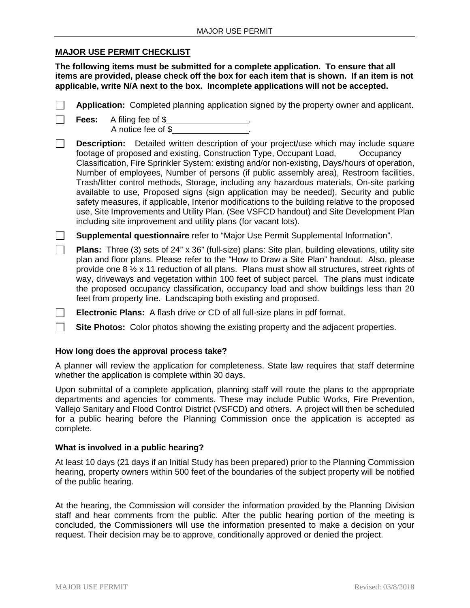### **MAJOR USE PERMIT CHECKLIST**

**The following items must be submitted for a complete application. To ensure that all items are provided, please check off the box for each item that is shown. If an item is not applicable, write N/A next to the box. Incomplete applications will not be accepted.** 

|  | Application: Completed planning application signed by the property owner and applicant. |  |  |  |  |  |
|--|-----------------------------------------------------------------------------------------|--|--|--|--|--|
|--|-----------------------------------------------------------------------------------------|--|--|--|--|--|

- **Fees:** A filing fee of \$ . A notice fee of \$
- $\Box$ **Description:** Detailed written description of your project/use which may include square footage of proposed and existing, Construction Type, Occupant Load, Occupancy Classification, Fire Sprinkler System: existing and/or non-existing, Days/hours of operation, Number of employees, Number of persons (if public assembly area), Restroom facilities, Trash/litter control methods, Storage, including any hazardous materials, On-site parking available to use, Proposed signs (sign application may be needed), Security and public safety measures, if applicable, Interior modifications to the building relative to the proposed use, Site Improvements and Utility Plan. (See VSFCD handout) and Site Development Plan including site improvement and utility plans (for vacant lots).

 $\Box$ **Supplemental questionnaire** refer to "Major Use Permit Supplemental Information".

- $\Box$ **Plans:** Three (3) sets of 24" x 36" (full-size) plans: Site plan, building elevations, utility site plan and floor plans. Please refer to the "How to Draw a Site Plan" handout. Also, please provide one 8 ½ x 11 reduction of all plans. Plans must show all structures, street rights of way, driveways and vegetation within 100 feet of subject parcel. The plans must indicate the proposed occupancy classification, occupancy load and show buildings less than 20 feet from property line. Landscaping both existing and proposed.
- **Electronic Plans:** A flash drive or CD of all full-size plans in pdf format.
- $\Box$ **Site Photos:** Color photos showing the existing property and the adjacent properties.

#### **How long does the approval process take?**

A planner will review the application for completeness. State law requires that staff determine whether the application is complete within 30 days.

Upon submittal of a complete application, planning staff will route the plans to the appropriate departments and agencies for comments. These may include Public Works, Fire Prevention, Vallejo Sanitary and Flood Control District (VSFCD) and others. A project will then be scheduled for a public hearing before the Planning Commission once the application is accepted as complete.

#### **What is involved in a public hearing?**

At least 10 days (21 days if an Initial Study has been prepared) prior to the Planning Commission hearing, property owners within 500 feet of the boundaries of the subject property will be notified of the public hearing.

At the hearing, the Commission will consider the information provided by the Planning Division staff and hear comments from the public. After the public hearing portion of the meeting is concluded, the Commissioners will use the information presented to make a decision on your request. Their decision may be to approve, conditionally approved or denied the project.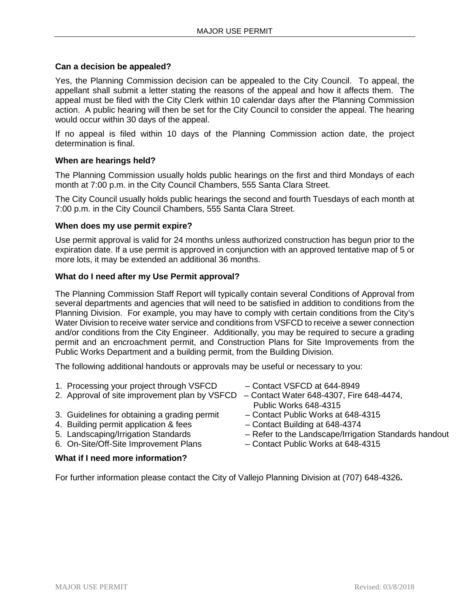### **Can a decision be appealed?**

Yes, the Planning Commission decision can be appealed to the City Council. To appeal, the appellant shall submit a letter stating the reasons of the appeal and how it affects them. The appeal must be filed with the City Clerk within 10 calendar days after the Planning Commission action. A public hearing will then be set for the City Council to consider the appeal. The hearing would occur within 30 days of the appeal.

If no appeal is filed within 10 days of the Planning Commission action date, the project determination is final.

#### **When are hearings held?**

The Planning Commission usually holds public hearings on the first and third Mondays of each month at 7:00 p.m. in the City Council Chambers, 555 Santa Clara Street.

The City Council usually holds public hearings the second and fourth Tuesdays of each month at 7:00 p.m. in the City Council Chambers, 555 Santa Clara Street.

#### **When does my use permit expire?**

Use permit approval is valid for 24 months unless authorized construction has begun prior to the expiration date. If a use permit is approved in conjunction with an approved tentative map of 5 or more lots, it may be extended an additional 36 months.

#### **What do I need after my Use Permit approval?**

The Planning Commission Staff Report will typically contain several Conditions of Approval from several departments and agencies that will need to be satisfied in addition to conditions from the Planning Division. For example, you may have to comply with certain conditions from the City's Water Division to receive water service and conditions from VSFCD to receive a sewer connection and/or conditions from the City Engineer. Additionally, you may be required to secure a grading permit and an encroachment permit, and Construction Plans for Site Improvements from the Public Works Department and a building permit, from the Building Division.

The following additional handouts or approvals may be useful or necessary to you:

- 1. Processing your project through VSFCD Contact VSFCD at 644-8949
- 2. Approval of site improvement plan by VSFCD Contact Water 648-4307, Fire 648-4474,
- 3. Guidelines for obtaining a grading permit Contact Public Works at 648-4315
- 4. Building permit application & fees  $-$  Contact Building at 648-4374 5. Landscaping/Irrigation Standards  $-$  Refer to the Landscape/Irrigation
- 
- 6. On-Site/Off-Site Improvement Plans

#### **What if I need more information?**

- 
- Public Works 648-4315
- 
- 
- Refer to the Landscape/Irrigation Standards handout<br>- Contact Public Works at 648-4315
- 

For further information please contact the City of Vallejo Planning Division at (707) 648-4326**.**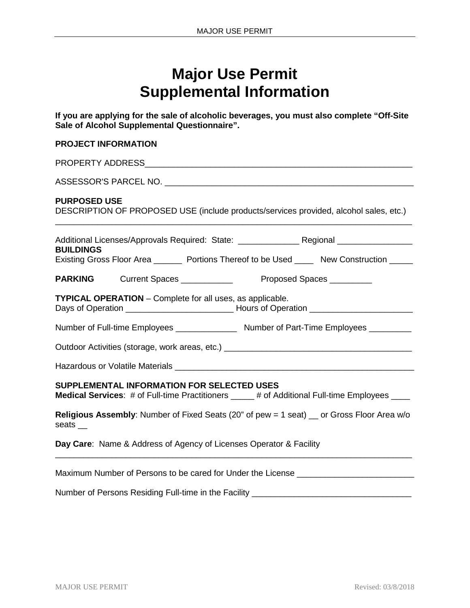# **Major Use Permit Supplemental Information**

**If you are applying for the sale of alcoholic beverages, you must also complete "Off-Site Sale of Alcohol Supplemental Questionnaire".**

# **PROJECT INFORMATION**

| <b>PURPOSED USE</b><br>DESCRIPTION OF PROPOSED USE (include products/services provided, alcohol sales, etc.)                                       |                                                                                              |  |  |  |
|----------------------------------------------------------------------------------------------------------------------------------------------------|----------------------------------------------------------------------------------------------|--|--|--|
| <b>BUILDINGS</b>                                                                                                                                   |                                                                                              |  |  |  |
|                                                                                                                                                    | Existing Gross Floor Area ________ Portions Thereof to be Used _____ New Construction ______ |  |  |  |
|                                                                                                                                                    | PARKING Current Spaces ______________ Proposed Spaces ________                               |  |  |  |
| TYPICAL OPERATION - Complete for all uses, as applicable.                                                                                          |                                                                                              |  |  |  |
|                                                                                                                                                    |                                                                                              |  |  |  |
|                                                                                                                                                    | Outdoor Activities (storage, work areas, etc.) __________________________________            |  |  |  |
|                                                                                                                                                    |                                                                                              |  |  |  |
| SUPPLEMENTAL INFORMATION FOR SELECTED USES<br><b>Medical Services:</b> # of Full-time Practitioners _____ # of Additional Full-time Employees ____ |                                                                                              |  |  |  |
| Religious Assembly: Number of Fixed Seats (20" of pew = 1 seat) _ or Gross Floor Area w/o<br>seats __                                              |                                                                                              |  |  |  |
| Day Care: Name & Address of Agency of Licenses Operator & Facility                                                                                 |                                                                                              |  |  |  |
| Maximum Number of Persons to be cared for Under the License Legendal Controllery of the Maximum of Maximum of                                      |                                                                                              |  |  |  |
| Number of Persons Residing Full-time in the Facility ____________________________                                                                  |                                                                                              |  |  |  |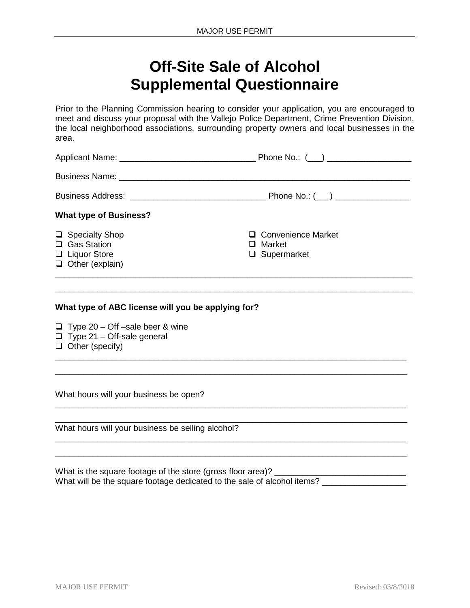# **Off-Site Sale of Alcohol Supplemental Questionnaire**

Prior to the Planning Commission hearing to consider your application, you are encouraged to meet and discuss your proposal with the Vallejo Police Department, Crime Prevention Division, the local neighborhood associations, surrounding property owners and local businesses in the area.

| <b>What type of Business?</b>                                                                |                                                                  |
|----------------------------------------------------------------------------------------------|------------------------------------------------------------------|
| $\Box$ Specialty Shop<br>$\Box$ Gas Station<br>$\Box$ Liquor Store<br>$\Box$ Other (explain) | $\Box$ Convenience Market<br>$\Box$ Market<br>$\Box$ Supermarket |

# **What type of ABC license will you be applying for?**

- $\Box$  Type 20 Off –sale beer & wine
- $\Box$  Type 21 Off-sale general
- $\Box$  Other (specify) \_\_\_\_\_\_\_\_\_\_\_\_\_\_\_\_\_\_\_\_\_\_\_\_\_\_\_\_\_\_\_\_\_\_\_\_\_\_\_\_\_\_\_\_\_\_\_\_\_\_\_\_\_\_\_\_\_\_\_\_\_\_\_\_\_\_\_\_\_\_\_\_\_\_\_

What hours will your business be open?

What hours will your business be selling alcohol?

What is the square footage of the store (gross floor area)? What will be the square footage dedicated to the sale of alcohol items? \_\_\_\_\_\_\_\_\_\_\_\_\_\_\_

\_\_\_\_\_\_\_\_\_\_\_\_\_\_\_\_\_\_\_\_\_\_\_\_\_\_\_\_\_\_\_\_\_\_\_\_\_\_\_\_\_\_\_\_\_\_\_\_\_\_\_\_\_\_\_\_\_\_\_\_\_\_\_\_\_\_\_\_\_\_\_\_\_\_\_

\_\_\_\_\_\_\_\_\_\_\_\_\_\_\_\_\_\_\_\_\_\_\_\_\_\_\_\_\_\_\_\_\_\_\_\_\_\_\_\_\_\_\_\_\_\_\_\_\_\_\_\_\_\_\_\_\_\_\_\_\_\_\_\_\_\_\_\_\_\_\_\_\_\_\_ \_\_\_\_\_\_\_\_\_\_\_\_\_\_\_\_\_\_\_\_\_\_\_\_\_\_\_\_\_\_\_\_\_\_\_\_\_\_\_\_\_\_\_\_\_\_\_\_\_\_\_\_\_\_\_\_\_\_\_\_\_\_\_\_\_\_\_\_\_\_\_\_\_\_\_

\_\_\_\_\_\_\_\_\_\_\_\_\_\_\_\_\_\_\_\_\_\_\_\_\_\_\_\_\_\_\_\_\_\_\_\_\_\_\_\_\_\_\_\_\_\_\_\_\_\_\_\_\_\_\_\_\_\_\_\_\_\_\_\_\_\_\_\_\_\_\_\_\_\_\_ \_\_\_\_\_\_\_\_\_\_\_\_\_\_\_\_\_\_\_\_\_\_\_\_\_\_\_\_\_\_\_\_\_\_\_\_\_\_\_\_\_\_\_\_\_\_\_\_\_\_\_\_\_\_\_\_\_\_\_\_\_\_\_\_\_\_\_\_\_\_\_\_\_\_\_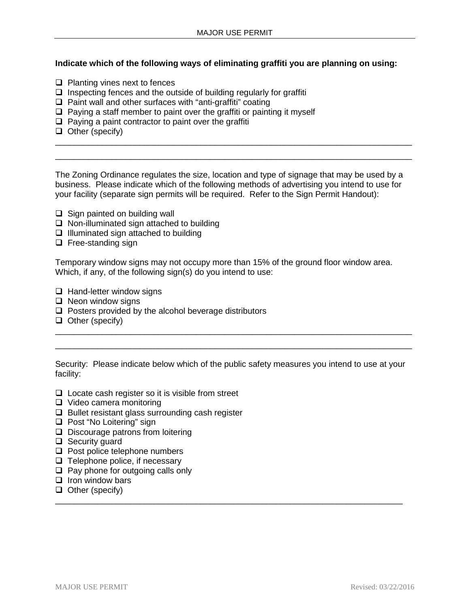### **Indicate which of the following ways of eliminating graffiti you are planning on using:**

- $\Box$  Planting vines next to fences
- $\Box$  Inspecting fences and the outside of building regularly for graffiti
- $\Box$  Paint wall and other surfaces with "anti-graffiti" coating
- $\Box$  Paying a staff member to paint over the graffiti or painting it myself
- $\Box$  Paying a paint contractor to paint over the graffiti
- $\Box$  Other (specify)

The Zoning Ordinance regulates the size, location and type of signage that may be used by a business. Please indicate which of the following methods of advertising you intend to use for your facility (separate sign permits will be required. Refer to the Sign Permit Handout):

\_\_\_\_\_\_\_\_\_\_\_\_\_\_\_\_\_\_\_\_\_\_\_\_\_\_\_\_\_\_\_\_\_\_\_\_\_\_\_\_\_\_\_\_\_\_\_\_\_\_\_\_\_\_\_\_\_\_\_\_\_\_\_\_\_\_\_\_\_\_\_\_\_\_\_\_ \_\_\_\_\_\_\_\_\_\_\_\_\_\_\_\_\_\_\_\_\_\_\_\_\_\_\_\_\_\_\_\_\_\_\_\_\_\_\_\_\_\_\_\_\_\_\_\_\_\_\_\_\_\_\_\_\_\_\_\_\_\_\_\_\_\_\_\_\_\_\_\_\_\_\_\_

- $\Box$  Sign painted on building wall
- $\Box$  Non-illuminated sign attached to building
- $\Box$  Illuminated sign attached to building
- $\Box$  Free-standing sign

Temporary window signs may not occupy more than 15% of the ground floor window area. Which, if any, of the following sign(s) do you intend to use:

- $\Box$  Hand-letter window signs
- $\Box$  Neon window signs
- $\Box$  Posters provided by the alcohol beverage distributors
- $\Box$  Other (specify)

Security: Please indicate below which of the public safety measures you intend to use at your facility:

\_\_\_\_\_\_\_\_\_\_\_\_\_\_\_\_\_\_\_\_\_\_\_\_\_\_\_\_\_\_\_\_\_\_\_\_\_\_\_\_\_\_\_\_\_\_\_\_\_\_\_\_\_\_\_\_\_\_\_\_\_\_\_\_\_\_\_\_\_\_\_\_\_\_

\_\_\_\_\_\_\_\_\_\_\_\_\_\_\_\_\_\_\_\_\_\_\_\_\_\_\_\_\_\_\_\_\_\_\_\_\_\_\_\_\_\_\_\_\_\_\_\_\_\_\_\_\_\_\_\_\_\_\_\_\_\_\_\_\_\_\_\_\_\_\_\_\_\_\_\_ \_\_\_\_\_\_\_\_\_\_\_\_\_\_\_\_\_\_\_\_\_\_\_\_\_\_\_\_\_\_\_\_\_\_\_\_\_\_\_\_\_\_\_\_\_\_\_\_\_\_\_\_\_\_\_\_\_\_\_\_\_\_\_\_\_\_\_\_\_\_\_\_\_\_\_\_

- $\Box$  Locate cash register so it is visible from street
- □ Video camera monitoring
- $\Box$  Bullet resistant glass surrounding cash register
- □ Post "No Loitering" sign
- $\Box$  Discourage patrons from loitering
- $\Box$  Security guard
- $\Box$  Post police telephone numbers
- $\Box$  Telephone police, if necessary
- $\Box$  Pay phone for outgoing calls only
- $\Box$  Iron window bars
- $\Box$  Other (specify)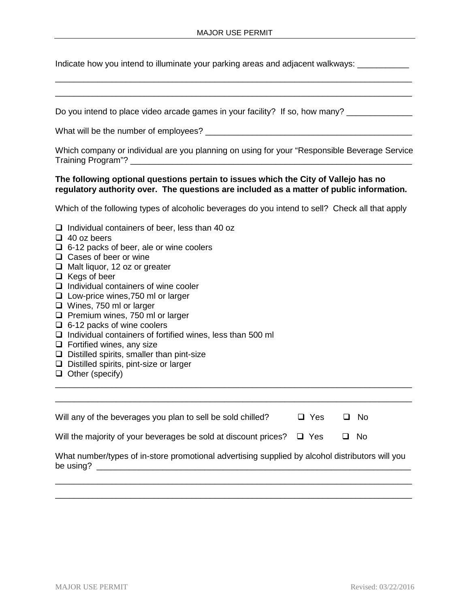\_\_\_\_\_\_\_\_\_\_\_\_\_\_\_\_\_\_\_\_\_\_\_\_\_\_\_\_\_\_\_\_\_\_\_\_\_\_\_\_\_\_\_\_\_\_\_\_\_\_\_\_\_\_\_\_\_\_\_\_\_\_\_\_\_\_\_\_\_\_\_\_\_\_\_\_ \_\_\_\_\_\_\_\_\_\_\_\_\_\_\_\_\_\_\_\_\_\_\_\_\_\_\_\_\_\_\_\_\_\_\_\_\_\_\_\_\_\_\_\_\_\_\_\_\_\_\_\_\_\_\_\_\_\_\_\_\_\_\_\_\_\_\_\_\_\_\_\_\_\_\_\_

Indicate how you intend to illuminate your parking areas and adjacent walkways:

Do you intend to place video arcade games in your facility? If so, how many?

What will be the number of employees? \_\_\_\_\_\_\_\_\_\_\_\_\_\_\_\_\_\_\_\_\_\_\_\_\_\_\_\_\_\_\_\_\_\_\_\_\_\_\_\_\_\_\_\_

Which company or individual are you planning on using for your "Responsible Beverage Service Training Program"? \_\_\_\_\_\_\_\_\_\_\_\_\_\_\_\_\_\_\_\_\_\_\_\_\_\_\_\_\_\_\_\_\_\_\_\_\_\_\_\_\_\_\_\_\_\_\_\_\_\_\_\_\_\_\_\_\_\_\_\_

# **The following optional questions pertain to issues which the City of Vallejo has no regulatory authority over. The questions are included as a matter of public information.**

Which of the following types of alcoholic beverages do you intend to sell? Check all that apply

- $\Box$  Individual containers of beer, less than 40 oz
- $\Box$  40 oz beers
- $\Box$  6-12 packs of beer, ale or wine coolers
- $\Box$  Cases of beer or wine
- □ Malt liquor, 12 oz or greater
- $\Box$  Kegs of beer
- $\Box$  Individual containers of wine cooler
- Low-price wines,750 ml or larger
- Wines, 750 ml or larger
- $\Box$  Premium wines, 750 ml or larger
- 6-12 packs of wine coolers
- $\Box$  Individual containers of fortified wines, less than 500 ml
- $\Box$  Fortified wines, any size
- $\Box$  Distilled spirits, smaller than pint-size
- $\Box$  Distilled spirits, pint-size or larger
- $\Box$  Other (specify)

| Will any of the beverages you plan to sell be sold chilled?                                                  | $\Box$ Yes | $\Box$ No |  |  |
|--------------------------------------------------------------------------------------------------------------|------------|-----------|--|--|
| Will the majority of your beverages be sold at discount prices? $\Box$ Yes                                   |            | $\Box$ No |  |  |
| What number/types of in-store promotional advertising supplied by alcohol distributors will you<br>be using? |            |           |  |  |

\_\_\_\_\_\_\_\_\_\_\_\_\_\_\_\_\_\_\_\_\_\_\_\_\_\_\_\_\_\_\_\_\_\_\_\_\_\_\_\_\_\_\_\_\_\_\_\_\_\_\_\_\_\_\_\_\_\_\_\_\_\_\_\_\_\_\_\_\_\_\_\_\_\_\_\_ \_\_\_\_\_\_\_\_\_\_\_\_\_\_\_\_\_\_\_\_\_\_\_\_\_\_\_\_\_\_\_\_\_\_\_\_\_\_\_\_\_\_\_\_\_\_\_\_\_\_\_\_\_\_\_\_\_\_\_\_\_\_\_\_\_\_\_\_\_\_\_\_\_\_\_\_

\_\_\_\_\_\_\_\_\_\_\_\_\_\_\_\_\_\_\_\_\_\_\_\_\_\_\_\_\_\_\_\_\_\_\_\_\_\_\_\_\_\_\_\_\_\_\_\_\_\_\_\_\_\_\_\_\_\_\_\_\_\_\_\_\_\_\_\_\_\_\_\_\_\_\_\_